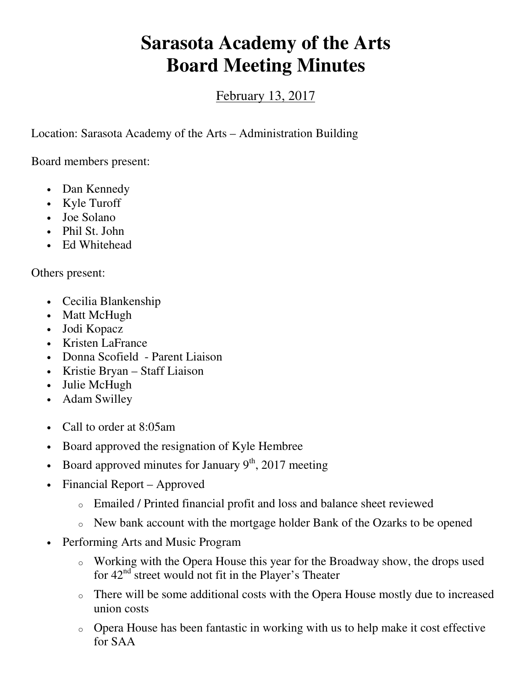## **Sarasota Academy of the Arts Board Meeting Minutes**

February 13, 2017

Location: Sarasota Academy of the Arts – Administration Building

Board members present:

- Dan Kennedy
- Kyle Turoff
- Joe Solano
- Phil St. John
- Ed Whitehead

Others present:

- Cecilia Blankenship
- Matt McHugh
- Jodi Kopacz
- Kristen LaFrance
- Donna Scofield Parent Liaison
- Kristie Bryan Staff Liaison
- Julie McHugh
- Adam Swilley
- Call to order at 8:05am
- Board approved the resignation of Kyle Hembree
- Board approved minutes for January  $9<sup>th</sup>$ , 2017 meeting
- Financial Report Approved
	- o Emailed / Printed financial profit and loss and balance sheet reviewed
	- o New bank account with the mortgage holder Bank of the Ozarks to be opened
- Performing Arts and Music Program
	- o Working with the Opera House this year for the Broadway show, the drops used for  $42<sup>nd</sup>$  street would not fit in the Player's Theater
	- o There will be some additional costs with the Opera House mostly due to increased union costs
	- o Opera House has been fantastic in working with us to help make it cost effective for SAA